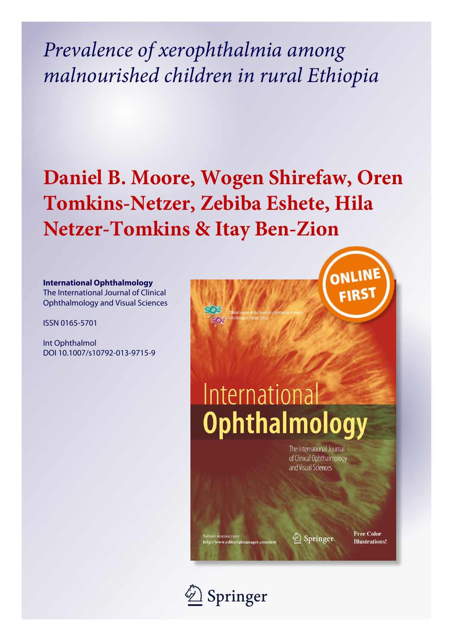*Prevalence of xerophthalmia among malnourished children in rural Ethiopia*

## **Daniel B. Moore, Wogen Shirefaw, Oren Tomkins-Netzer, Zebiba Eshete, Hila Netzer-Tomkins & Itay Ben-Zion**

#### **International Ophthalmology**

The International Journal of Clinical Ophthalmology and Visual Sciences

ISSN 0165-5701

Int Ophthalmol DOI 10.1007/s10792-013-9715-9



# International **Ophthalmology**

The International Journal of Clinical Ophthalmology and Visual Sciences

2 Springer

Free Color **Illustrations!** 



it manuscripts:<br>//www.editorialmanager.com/int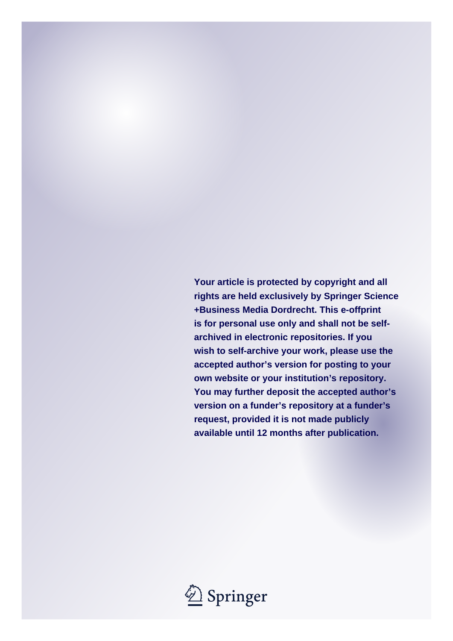**Your article is protected by copyright and all rights are held exclusively by Springer Science +Business Media Dordrecht. This e-offprint is for personal use only and shall not be selfarchived in electronic repositories. If you wish to self-archive your work, please use the accepted author's version for posting to your own website or your institution's repository. You may further deposit the accepted author's version on a funder's repository at a funder's request, provided it is not made publicly available until 12 months after publication.**

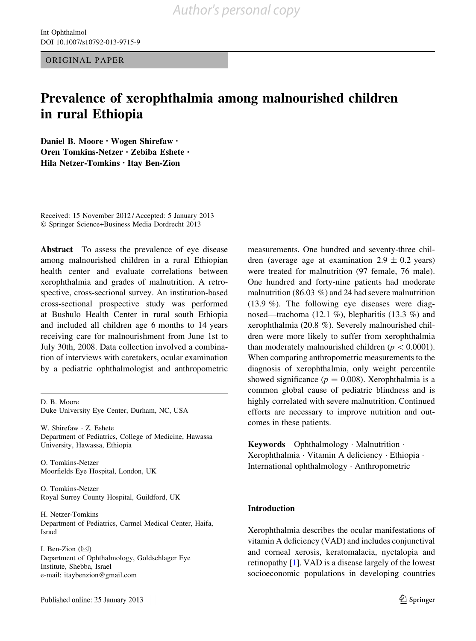ORIGINAL PAPER

### Prevalence of xerophthalmia among malnourished children in rural Ethiopia

Daniel B. Moore • Wogen Shirefaw • Oren Tomkins-Netzer • Zebiba Eshete • Hila Netzer-Tomkins • Itay Ben-Zion

Received: 15 November 2012 / Accepted: 5 January 2013 - Springer Science+Business Media Dordrecht 2013

Abstract To assess the prevalence of eye disease among malnourished children in a rural Ethiopian health center and evaluate correlations between xerophthalmia and grades of malnutrition. A retrospective, cross-sectional survey. An institution-based cross-sectional prospective study was performed at Bushulo Health Center in rural south Ethiopia and included all children age 6 months to 14 years receiving care for malnourishment from June 1st to July 30th, 2008. Data collection involved a combination of interviews with caretakers, ocular examination by a pediatric ophthalmologist and anthropometric

D. B. Moore Duke University Eye Center, Durham, NC, USA

W. Shirefaw - Z. Eshete Department of Pediatrics, College of Medicine, Hawassa University, Hawassa, Ethiopia

O. Tomkins-Netzer Moorfields Eye Hospital, London, UK

O. Tomkins-Netzer Royal Surrey County Hospital, Guildford, UK

H. Netzer-Tomkins Department of Pediatrics, Carmel Medical Center, Haifa, Israel

I. Ben-Zion  $(\boxtimes)$ Department of Ophthalmology, Goldschlager Eye Institute, Shebba, Israel e-mail: itaybenzion@gmail.com

measurements. One hundred and seventy-three children (average age at examination  $2.9 \pm 0.2$  years) were treated for malnutrition (97 female, 76 male). One hundred and forty-nine patients had moderate malnutrition (86.03 %) and 24 had severe malnutrition (13.9 %). The following eye diseases were diagnosed—trachoma (12.1 %), blepharitis (13.3 %) and xerophthalmia (20.8 %). Severely malnourished children were more likely to suffer from xerophthalmia than moderately malnourished children ( $p\lt0.0001$ ). When comparing anthropometric measurements to the diagnosis of xerophthalmia, only weight percentile showed significance ( $p = 0.008$ ). Xerophthalmia is a common global cause of pediatric blindness and is highly correlated with severe malnutrition. Continued efforts are necessary to improve nutrition and outcomes in these patients.

Keywords Ophthalmology - Malnutrition - Xerophthalmia - Vitamin A deficiency - Ethiopia - International ophthalmology - Anthropometric

#### Introduction

Xerophthalmia describes the ocular manifestations of vitamin A deficiency (VAD) and includes conjunctival and corneal xerosis, keratomalacia, nyctalopia and retinopathy [[1](#page-6-0)]. VAD is a disease largely of the lowest socioeconomic populations in developing countries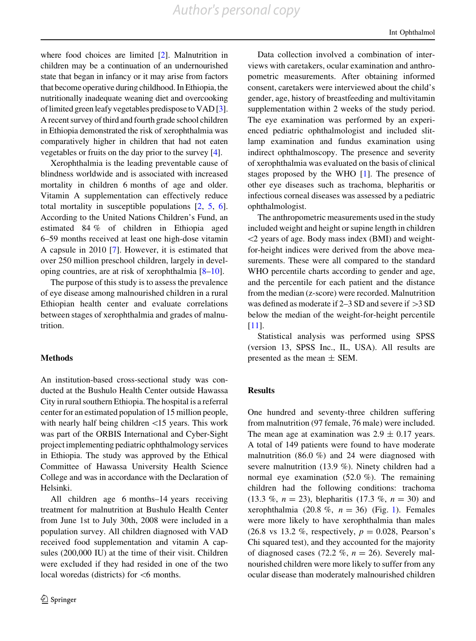where food choices are limited [\[2\]](#page-6-0). Malnutrition in children may be a continuation of an undernourished state that began in infancy or it may arise from factors that become operative during childhood. In Ethiopia, the nutritionally inadequate weaning diet and overcooking of limited green leafy vegetables predispose to VAD [[3](#page-6-0)]. A recent survey of third and fourth grade school children in Ethiopia demonstrated the risk of xerophthalmia was comparatively higher in children that had not eaten vegetables or fruits on the day prior to the survey [\[4](#page-6-0)].

Xerophthalmia is the leading preventable cause of blindness worldwide and is associated with increased mortality in children 6 months of age and older. Vitamin A supplementation can effectively reduce total mortality in susceptible populations [\[2](#page-6-0), [5](#page-6-0), [6](#page-6-0)]. According to the United Nations Children's Fund, an estimated 84 % of children in Ethiopia aged 6–59 months received at least one high-dose vitamin A capsule in 2010 [\[7](#page-6-0)]. However, it is estimated that over 250 million preschool children, largely in developing countries, are at risk of xerophthalmia [\[8–10](#page-6-0)].

The purpose of this study is to assess the prevalence of eye disease among malnourished children in a rural Ethiopian health center and evaluate correlations between stages of xerophthalmia and grades of malnutrition.

#### **Methods**

An institution-based cross-sectional study was conducted at the Bushulo Health Center outside Hawassa City in rural southern Ethiopia. The hospital is a referral center for an estimated population of 15 million people, with nearly half being children  $\langle 15 \rangle$  years. This work was part of the ORBIS International and Cyber-Sight project implementing pediatric ophthalmology services in Ethiopia. The study was approved by the Ethical Committee of Hawassa University Health Science College and was in accordance with the Declaration of Helsinki.

All children age 6 months–14 years receiving treatment for malnutrition at Bushulo Health Center from June 1st to July 30th, 2008 were included in a population survey. All children diagnosed with VAD received food supplementation and vitamin A capsules (200,000 IU) at the time of their visit. Children were excluded if they had resided in one of the two local woredas (districts) for <6 months.

Data collection involved a combination of interviews with caretakers, ocular examination and anthropometric measurements. After obtaining informed consent, caretakers were interviewed about the child's gender, age, history of breastfeeding and multivitamin supplementation within 2 weeks of the study period. The eye examination was performed by an experienced pediatric ophthalmologist and included slitlamp examination and fundus examination using indirect ophthalmoscopy. The presence and severity of xerophthalmia was evaluated on the basis of clinical stages proposed by the WHO [\[1](#page-6-0)]. The presence of other eye diseases such as trachoma, blepharitis or infectious corneal diseases was assessed by a pediatric ophthalmologist.

The anthropometric measurements used in the study included weight and height or supine length in children  $\langle$ 2 years of age. Body mass index (BMI) and weightfor-height indices were derived from the above measurements. These were all compared to the standard WHO percentile charts according to gender and age, and the percentile for each patient and the distance from the median (z-score) were recorded. Malnutrition was defined as moderate if  $2-3$  SD and severe if  $>3$  SD below the median of the weight-for-height percentile [\[11](#page-6-0)].

Statistical analysis was performed using SPSS (version 13, SPSS Inc., IL, USA). All results are presented as the mean  $\pm$  SEM.

#### **Results**

One hundred and seventy-three children suffering from malnutrition (97 female, 76 male) were included. The mean age at examination was  $2.9 \pm 0.17$  years. A total of 149 patients were found to have moderate malnutrition (86.0 %) and 24 were diagnosed with severe malnutrition (13.9 %). Ninety children had a normal eye examination (52.0 %). The remaining children had the following conditions: trachoma (13.3 %,  $n = 23$ ), blepharitis (17.3 %,  $n = 30$ ) and xerophthalmia (20.8 %,  $n = 36$ ) (Fig. [1](#page-4-0)). Females were more likely to have xerophthalmia than males (26.8 vs 13.2 %, respectively,  $p = 0.028$ , Pearson's Chi squared test), and they accounted for the majority of diagnosed cases (72.2 %,  $n = 26$ ). Severely malnourished children were more likely to suffer from any ocular disease than moderately malnourished children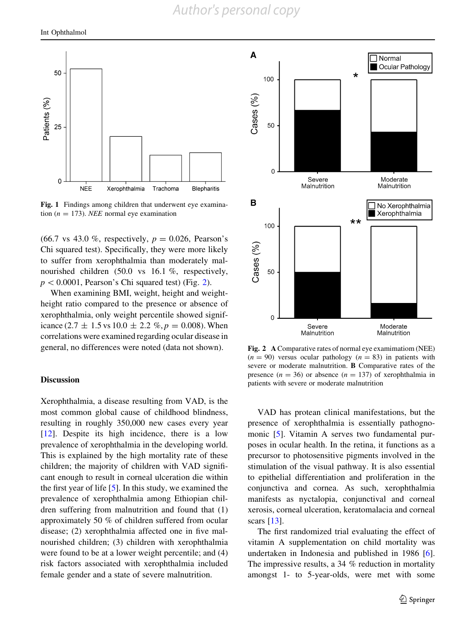<span id="page-4-0"></span>

Fig. 1 Findings among children that underwent eye examination ( $n = 173$ ). *NEE* normal eye examination

 $(66.7 \text{ vs } 43.0 \%$ , respectively,  $p = 0.026$ , Pearson's Chi squared test). Specifically, they were more likely to suffer from xerophthalmia than moderately malnourished children (50.0 vs 16.1 %, respectively,  $p<0.0001$ , Pearson's Chi squared test) (Fig. 2).

When examining BMI, weight, height and weightheight ratio compared to the presence or absence of xerophthalmia, only weight percentile showed significance (2.7  $\pm$  1.5 vs 10.0  $\pm$  2.2 %,  $p = 0.008$ ). When correlations were examined regarding ocular disease in general, no differences were noted (data not shown).

#### Discussion

Xerophthalmia, a disease resulting from VAD, is the most common global cause of childhood blindness, resulting in roughly 350,000 new cases every year [\[12](#page-6-0)]. Despite its high incidence, there is a low prevalence of xerophthalmia in the developing world. This is explained by the high mortality rate of these children; the majority of children with VAD significant enough to result in corneal ulceration die within the first year of life  $[5]$  $[5]$ . In this study, we examined the prevalence of xerophthalmia among Ethiopian children suffering from malnutrition and found that (1) approximately 50 % of children suffered from ocular disease; (2) xerophthalmia affected one in five malnourished children; (3) children with xerophthalmia were found to be at a lower weight percentile; and (4) risk factors associated with xerophthalmia included female gender and a state of severe malnutrition.



Fig. 2 A Comparative rates of normal eye examimatiom (NEE)  $(n = 90)$  versus ocular pathology  $(n = 83)$  in patients with severe or moderate malnutrition. B Comparative rates of the presence  $(n = 36)$  or absence  $(n = 137)$  of xerophthalmia in patients with severe or moderate malnutrition

VAD has protean clinical manifestations, but the presence of xerophthalmia is essentially pathognomonic [\[5](#page-6-0)]. Vitamin A serves two fundamental purposes in ocular health. In the retina, it functions as a precursor to photosensitive pigments involved in the stimulation of the visual pathway. It is also essential to epithelial differentiation and proliferation in the conjunctiva and cornea. As such, xerophthalmia manifests as nyctalopia, conjunctival and corneal xerosis, corneal ulceration, keratomalacia and corneal scars [[13\]](#page-6-0).

The first randomized trial evaluating the effect of vitamin A supplementation on child mortality was undertaken in Indonesia and published in 1986 [\[6](#page-6-0)]. The impressive results, a 34 % reduction in mortality amongst 1- to 5-year-olds, were met with some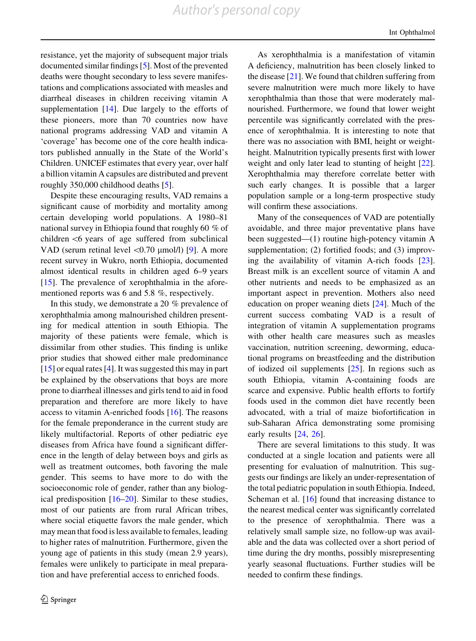*Author's personal copy*

resistance, yet the majority of subsequent major trials documented similar findings [\[5](#page-6-0)]. Most of the prevented deaths were thought secondary to less severe manifestations and complications associated with measles and diarrheal diseases in children receiving vitamin A supplementation  $[14]$  $[14]$ . Due largely to the efforts of these pioneers, more than 70 countries now have national programs addressing VAD and vitamin A 'coverage' has become one of the core health indicators published annually in the State of the World's Children. UNICEF estimates that every year, over half a billion vitamin A capsules are distributed and prevent roughly 350,000 childhood deaths [\[5](#page-6-0)].

Despite these encouraging results, VAD remains a significant cause of morbidity and mortality among certain developing world populations. A 1980–81 national survey in Ethiopia found that roughly 60 % of children $<6$  years of age suffered from subclinical VAD (serum retinal level  $\langle 0.70 \text{ \mu mol/l} \rangle$  [[9\]](#page-6-0). A more recent survey in Wukro, north Ethiopia, documented almost identical results in children aged 6–9 years  $[15]$  $[15]$ . The prevalence of xerophthalmia in the aforementioned reports was 6 and 5.8 %, respectively.

In this study, we demonstrate a 20 % prevalence of xerophthalmia among malnourished children presenting for medical attention in south Ethiopia. The majority of these patients were female, which is dissimilar from other studies. This finding is unlike prior studies that showed either male predominance [\[15](#page-6-0)] or equal rates [[4\]](#page-6-0). It was suggested this may in part be explained by the observations that boys are more prone to diarrheal illnesses and girls tend to aid in food preparation and therefore are more likely to have access to vitamin A-enriched foods [\[16](#page-6-0)]. The reasons for the female preponderance in the current study are likely multifactorial. Reports of other pediatric eye diseases from Africa have found a significant difference in the length of delay between boys and girls as well as treatment outcomes, both favoring the male gender. This seems to have more to do with the socioeconomic role of gender, rather than any biological predisposition  $[16–20]$  $[16–20]$ . Similar to these studies, most of our patients are from rural African tribes, where social etiquette favors the male gender, which may mean that food is less available to females, leading to higher rates of malnutrition. Furthermore, given the young age of patients in this study (mean 2.9 years), females were unlikely to participate in meal preparation and have preferential access to enriched foods.

As xerophthalmia is a manifestation of vitamin A deficiency, malnutrition has been closely linked to the disease [[21\]](#page-6-0). We found that children suffering from severe malnutrition were much more likely to have xerophthalmia than those that were moderately malnourished. Furthermore, we found that lower weight percentile was significantly correlated with the presence of xerophthalmia. It is interesting to note that there was no association with BMI, height or weightheight. Malnutrition typically presents first with lower weight and only later lead to stunting of height [\[22](#page-6-0)]. Xerophthalmia may therefore correlate better with such early changes. It is possible that a larger population sample or a long-term prospective study will confirm these associations.

Many of the consequences of VAD are potentially avoidable, and three major preventative plans have been suggested—(1) routine high-potency vitamin A supplementation; (2) fortified foods; and (3) improving the availability of vitamin A-rich foods [\[23](#page-6-0)]. Breast milk is an excellent source of vitamin A and other nutrients and needs to be emphasized as an important aspect in prevention. Mothers also need education on proper weaning diets [\[24](#page-6-0)]. Much of the current success combating VAD is a result of integration of vitamin A supplementation programs with other health care measures such as measles vaccination, nutrition screening, deworming, educational programs on breastfeeding and the distribution of iodized oil supplements [\[25](#page-6-0)]. In regions such as south Ethiopia, vitamin A-containing foods are scarce and expensive. Public health efforts to fortify foods used in the common diet have recently been advocated, with a trial of maize biofortification in sub-Saharan Africa demonstrating some promising early results [[24,](#page-6-0) [26](#page-6-0)].

There are several limitations to this study. It was conducted at a single location and patients were all presenting for evaluation of malnutrition. This suggests our findings are likely an under-representation of the total pediatric population in south Ethiopia. Indeed, Scheman et al. [\[16](#page-6-0)] found that increasing distance to the nearest medical center was significantly correlated to the presence of xerophthalmia. There was a relatively small sample size, no follow-up was available and the data was collected over a short period of time during the dry months, possibly misrepresenting yearly seasonal fluctuations. Further studies will be needed to confirm these findings.